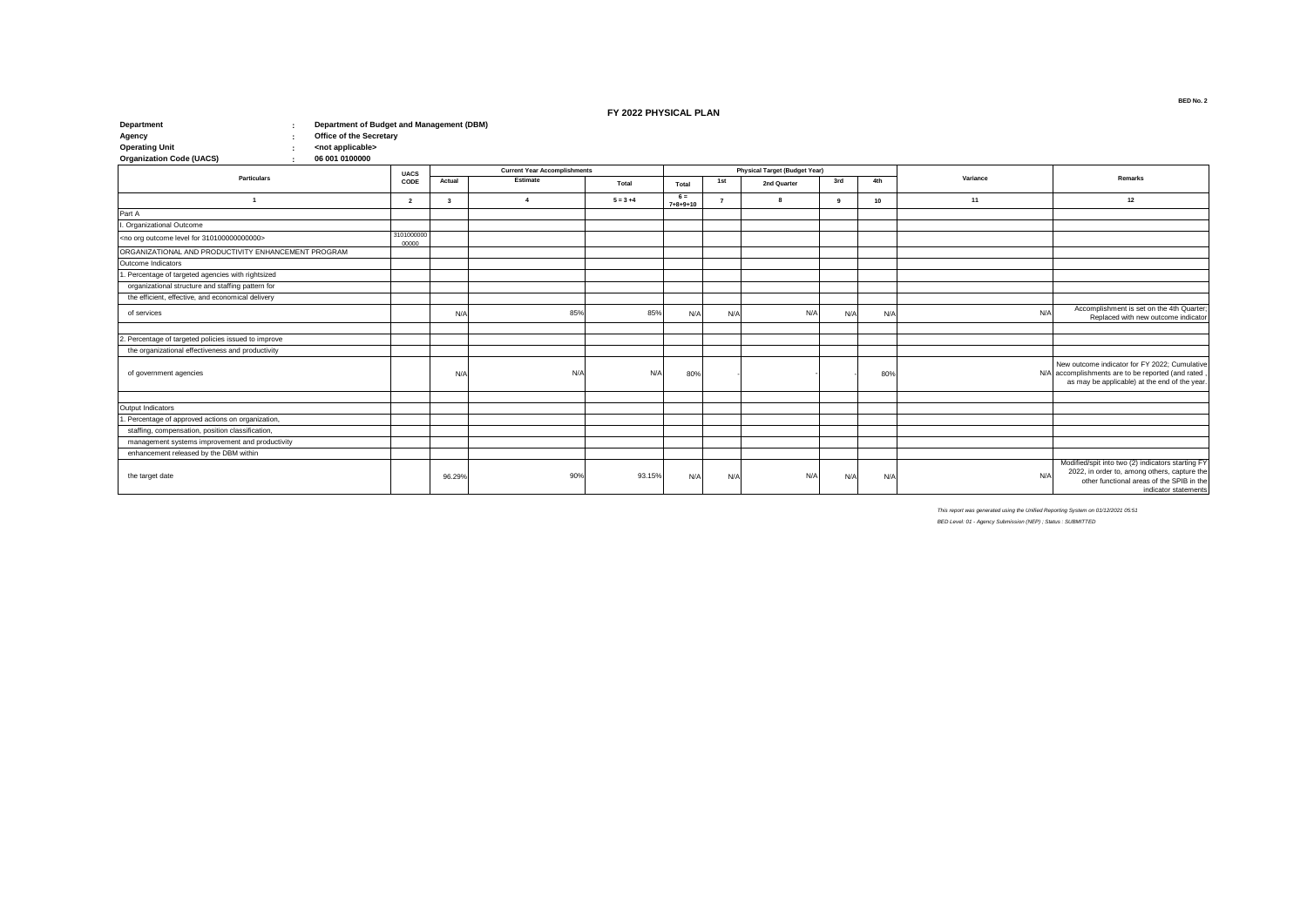## **FY 2022 PHYSICAL PLAN**

| <b>Department</b><br>Department of Budget and Management (DBM)  |                     |              |                                     |             |                           |     |                                      |     |     |          |                                                                                                                                                                        |
|-----------------------------------------------------------------|---------------------|--------------|-------------------------------------|-------------|---------------------------|-----|--------------------------------------|-----|-----|----------|------------------------------------------------------------------------------------------------------------------------------------------------------------------------|
| Office of the Secretary<br>Agency                               |                     |              |                                     |             |                           |     |                                      |     |     |          |                                                                                                                                                                        |
| <b>Operating Unit</b><br><not applicable=""></not>              |                     |              |                                     |             |                           |     |                                      |     |     |          |                                                                                                                                                                        |
| <b>Organization Code (UACS)</b><br>06 001 0100000               |                     |              |                                     |             |                           |     |                                      |     |     |          |                                                                                                                                                                        |
| <b>Particulars</b>                                              | <b>UACS</b>         |              | <b>Current Year Accomplishments</b> |             |                           |     | <b>Physical Target (Budget Year)</b> |     |     | Variance | Remarks                                                                                                                                                                |
|                                                                 | CODE                | Actual       | Estimate                            | Total       | Total                     | 1st | 2nd Quarter                          | 3rd | 4th |          |                                                                                                                                                                        |
| -1                                                              | $\overline{2}$      | $\mathbf{3}$ | $\boldsymbol{A}$                    | $5 = 3 + 4$ | $6 =$<br>$7 + 8 + 9 + 10$ |     | $\mathbf{R}$                         |     | 10  | 11       | 12                                                                                                                                                                     |
| Part A                                                          |                     |              |                                     |             |                           |     |                                      |     |     |          |                                                                                                                                                                        |
| . Organizational Outcome                                        |                     |              |                                     |             |                           |     |                                      |     |     |          |                                                                                                                                                                        |
| <no 3101000000000000="" for="" level="" org="" outcome=""></no> | 3101000000<br>00000 |              |                                     |             |                           |     |                                      |     |     |          |                                                                                                                                                                        |
| ORGANIZATIONAL AND PRODUCTIVITY ENHANCEMENT PROGRAM             |                     |              |                                     |             |                           |     |                                      |     |     |          |                                                                                                                                                                        |
| Outcome Indicators                                              |                     |              |                                     |             |                           |     |                                      |     |     |          |                                                                                                                                                                        |
| . Percentage of targeted agencies with rightsized               |                     |              |                                     |             |                           |     |                                      |     |     |          |                                                                                                                                                                        |
| organizational structure and staffing pattern for               |                     |              |                                     |             |                           |     |                                      |     |     |          |                                                                                                                                                                        |
| the efficient, effective, and economical delivery               |                     |              |                                     |             |                           |     |                                      |     |     |          |                                                                                                                                                                        |
| of services                                                     |                     | N/A          | 85%                                 | 85%         | N/A                       | N/A | N/A                                  | N/f | N/A | N/A      | Accomplishment is set on the 4th Quarter;<br>Replaced with new outcome indicator                                                                                       |
|                                                                 |                     |              |                                     |             |                           |     |                                      |     |     |          |                                                                                                                                                                        |
| 2. Percentage of targeted policies issued to improve            |                     |              |                                     |             |                           |     |                                      |     |     |          |                                                                                                                                                                        |
| the organizational effectiveness and productivity               |                     |              |                                     |             |                           |     |                                      |     |     |          |                                                                                                                                                                        |
| of government agencies                                          |                     | N/f          | N/A                                 | N/A         | 80%                       |     |                                      |     | 80% |          | New outcome indicator for FY 2022; Cumulative<br>N/A accomplishments are to be reported (and rated,<br>as may be applicable) at the end of the year.                   |
|                                                                 |                     |              |                                     |             |                           |     |                                      |     |     |          |                                                                                                                                                                        |
| Output Indicators                                               |                     |              |                                     |             |                           |     |                                      |     |     |          |                                                                                                                                                                        |
| . Percentage of approved actions on organization,               |                     |              |                                     |             |                           |     |                                      |     |     |          |                                                                                                                                                                        |
| staffing, compensation, position classification.                |                     |              |                                     |             |                           |     |                                      |     |     |          |                                                                                                                                                                        |
| management systems improvement and productivity                 |                     |              |                                     |             |                           |     |                                      |     |     |          |                                                                                                                                                                        |
| enhancement released by the DBM within                          |                     |              |                                     |             |                           |     |                                      |     |     |          |                                                                                                                                                                        |
| the target date                                                 |                     | 96.29%       | 90%                                 | 93.15%      | N/A                       | N/A | N/A                                  | N/4 | N/A | N/A      | Modified/spit into two (2) indicators starting FY<br>2022, in order to, among others, capture the<br>other functional areas of the SPIB in the<br>indicator statements |

*This report was generated using the Unified Reporting System on 01/12/2021 05:51*

*BED Level: 01 - Agency Submission (NEP) ; Status : SUBMITTED*

**BED No. 2**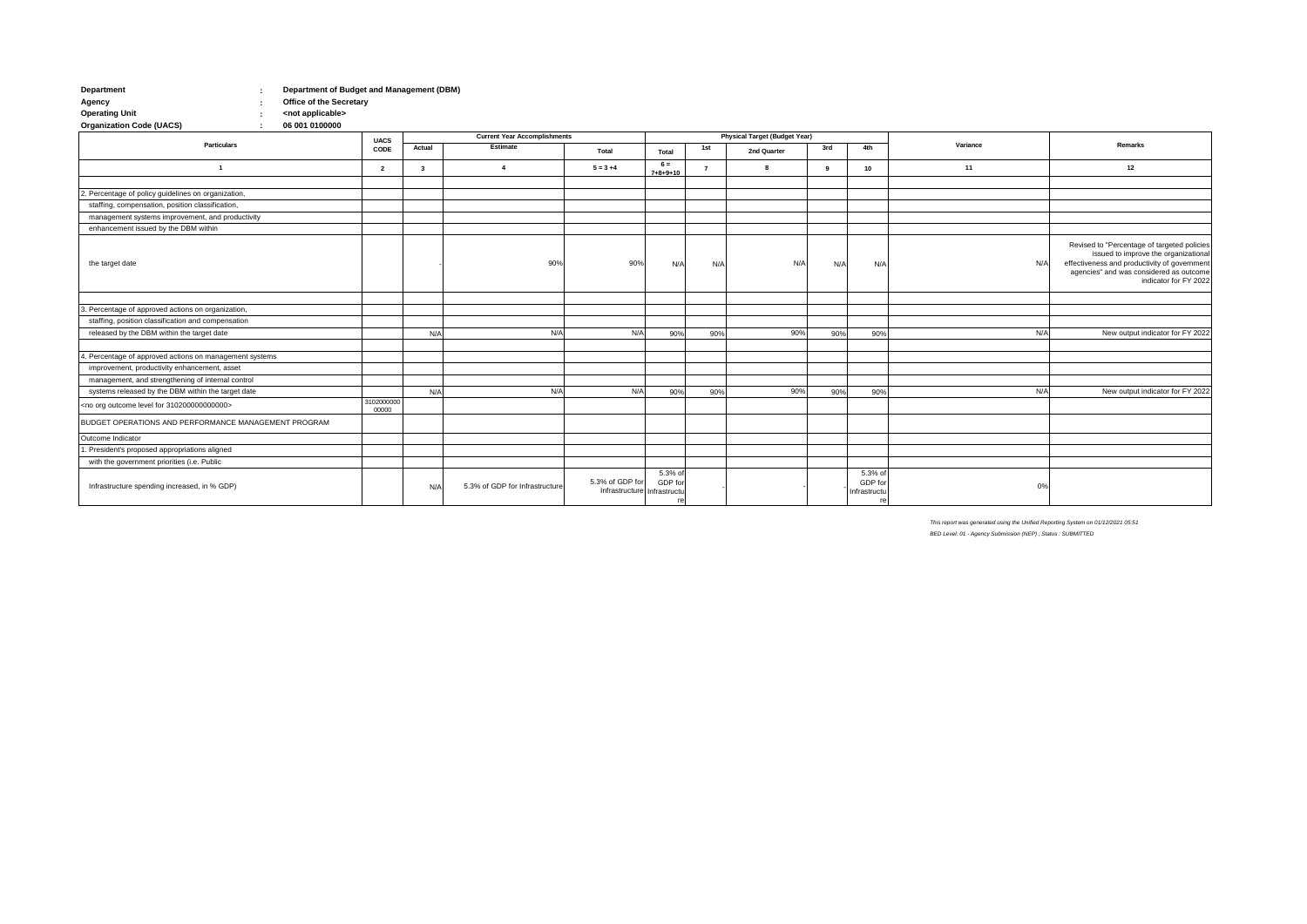| Department | Department of Budget and Management (DBM) |
|------------|-------------------------------------------|
| Agency     | <b>Office of the Secretary</b>            |

**: Operating Unit <not applicable>**  $\frac{1}{2}$  06 001 0100000 **Organization Code (UACS)** 

|                                                                |                     |              | <b>Current Year Accomplishments</b><br><b>UACS</b> |                                                |                           |     |             |     | <b>Physical Target (Budget Year)</b> |          |                                                                                                                                                                                                         |  |  |
|----------------------------------------------------------------|---------------------|--------------|----------------------------------------------------|------------------------------------------------|---------------------------|-----|-------------|-----|--------------------------------------|----------|---------------------------------------------------------------------------------------------------------------------------------------------------------------------------------------------------------|--|--|
| <b>Particulars</b>                                             | CODE                | Actual       | Estimate                                           | Total                                          | Total                     | 1st | 2nd Quarter | 3rd | 4th                                  | Variance | <b>Remarks</b>                                                                                                                                                                                          |  |  |
|                                                                | $\overline{2}$      | $\mathbf{3}$ | $\overline{a}$                                     | $5 = 3 + 4$                                    | $6 =$<br>$7 + 8 + 9 + 10$ |     |             |     | 10 <sub>1</sub>                      | 11       | 12                                                                                                                                                                                                      |  |  |
|                                                                |                     |              |                                                    |                                                |                           |     |             |     |                                      |          |                                                                                                                                                                                                         |  |  |
| 2. Percentage of policy guidelines on organization,            |                     |              |                                                    |                                                |                           |     |             |     |                                      |          |                                                                                                                                                                                                         |  |  |
| staffing, compensation, position classification,               |                     |              |                                                    |                                                |                           |     |             |     |                                      |          |                                                                                                                                                                                                         |  |  |
| management systems improvement, and productivity               |                     |              |                                                    |                                                |                           |     |             |     |                                      |          |                                                                                                                                                                                                         |  |  |
| enhancement issued by the DBM within                           |                     |              |                                                    |                                                |                           |     |             |     |                                      |          |                                                                                                                                                                                                         |  |  |
| the target date                                                |                     |              | 90%                                                | 90%                                            | N/A                       | N/A | N/A         | N/A | N/A                                  | N/A      | Revised to "Percentage of targeted policies<br>issued to improve the organizational<br>effectiveness and productivity of government<br>agencies" and was considered as outcome<br>indicator for FY 2022 |  |  |
|                                                                |                     |              |                                                    |                                                |                           |     |             |     |                                      |          |                                                                                                                                                                                                         |  |  |
| 3. Percentage of approved actions on organization,             |                     |              |                                                    |                                                |                           |     |             |     |                                      |          |                                                                                                                                                                                                         |  |  |
| staffing, position classification and compensation             |                     |              |                                                    |                                                |                           |     |             |     |                                      |          |                                                                                                                                                                                                         |  |  |
| released by the DBM within the target date                     |                     | N/A          | N/A                                                | N/A                                            | 90%                       | 90% | 90%         | 90% | 90%                                  | N/A      | New output indicator for FY 2022                                                                                                                                                                        |  |  |
|                                                                |                     |              |                                                    |                                                |                           |     |             |     |                                      |          |                                                                                                                                                                                                         |  |  |
| 4. Percentage of approved actions on management systems        |                     |              |                                                    |                                                |                           |     |             |     |                                      |          |                                                                                                                                                                                                         |  |  |
| improvement, productivity enhancement, asset                   |                     |              |                                                    |                                                |                           |     |             |     |                                      |          |                                                                                                                                                                                                         |  |  |
| management, and strengthening of internal control              |                     |              |                                                    |                                                |                           |     |             |     |                                      |          |                                                                                                                                                                                                         |  |  |
| systems released by the DBM within the target date             |                     | N/A          | N/A                                                | N/A                                            | 90%                       | 90% | 90%         | 90% | 90%                                  | N/A      | New output indicator for FY 2022                                                                                                                                                                        |  |  |
| <no 310200000000000="" for="" level="" org="" outcome=""></no> | 3102000000<br>00000 |              |                                                    |                                                |                           |     |             |     |                                      |          |                                                                                                                                                                                                         |  |  |
| BUDGET OPERATIONS AND PERFORMANCE MANAGEMENT PROGRAM           |                     |              |                                                    |                                                |                           |     |             |     |                                      |          |                                                                                                                                                                                                         |  |  |
| Outcome Indicator                                              |                     |              |                                                    |                                                |                           |     |             |     |                                      |          |                                                                                                                                                                                                         |  |  |
| . President's proposed appropriations aligned                  |                     |              |                                                    |                                                |                           |     |             |     |                                      |          |                                                                                                                                                                                                         |  |  |
| with the government priorities (i.e. Public                    |                     |              |                                                    |                                                |                           |     |             |     |                                      |          |                                                                                                                                                                                                         |  |  |
| Infrastructure spending increased, in % GDP)                   |                     | N/A          | 5.3% of GDP for Infrastructure                     | 5.3% of GDP for<br>Infrastructure Infrastructu | 5.3% of<br>GDP for        |     |             |     | 5.3% of<br>GDP for<br>Infrastructu   | 0%       |                                                                                                                                                                                                         |  |  |

*This report was generated using the Unified Reporting System on 01/12/2021 05:51*

*BED Level: 01 - Agency Submission (NEP) ; Status : SUBMITTED*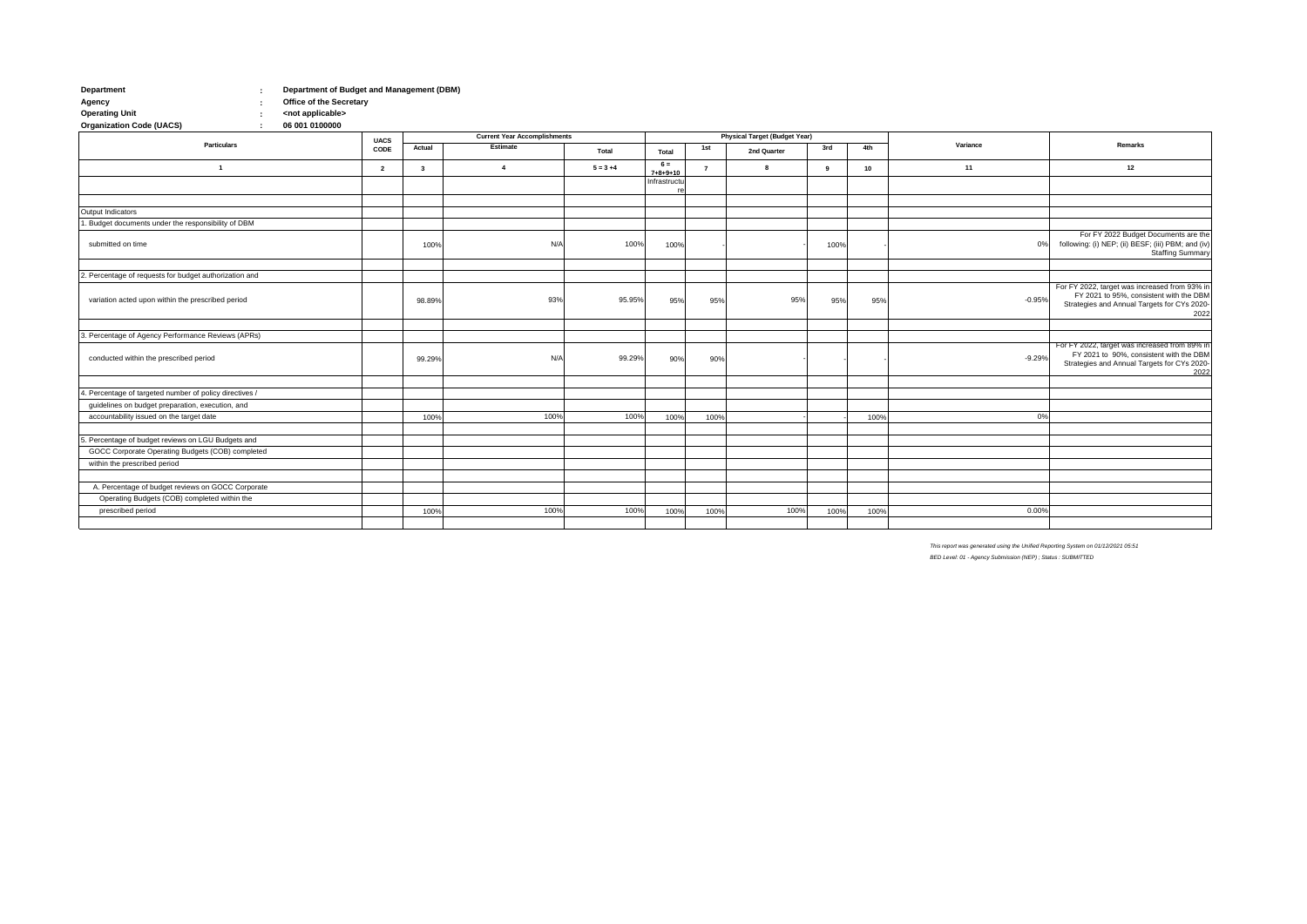| Department | Department of Budget and Management (DBM) |
|------------|-------------------------------------------|
| Agency     | <b>Office of the Secretary</b>            |

**: Operating Unit <not applicable>** 06 001 0100000 **Organization Code (UACS)** 

|                                                         | <b>UACS</b>    | <b>Current Year Accomplishments</b> |                |             |                           |                | <b>Physical Target (Budget Year)</b> |      |                 |          |                                                                                                                                                 |
|---------------------------------------------------------|----------------|-------------------------------------|----------------|-------------|---------------------------|----------------|--------------------------------------|------|-----------------|----------|-------------------------------------------------------------------------------------------------------------------------------------------------|
| <b>Particulars</b>                                      | CODE           | Actual                              | Estimate       | Total       | Total                     | 1st            | 2nd Quarter                          | 3rd  | 4th             | Variance | Remarks                                                                                                                                         |
| $\overline{1}$                                          | $\overline{2}$ | $\overline{3}$                      | $\overline{4}$ | $5 = 3 + 4$ | $6 =$<br>$7 + 8 + 9 + 10$ | $\overline{7}$ | 8                                    | -9   | 10 <sup>1</sup> | 11       | 12                                                                                                                                              |
|                                                         |                |                                     |                |             | Infrastructu              |                |                                      |      |                 |          |                                                                                                                                                 |
|                                                         |                |                                     |                |             |                           |                |                                      |      |                 |          |                                                                                                                                                 |
| Output Indicators                                       |                |                                     |                |             |                           |                |                                      |      |                 |          |                                                                                                                                                 |
| . Budget documents under the responsibility of DBM      |                |                                     |                |             |                           |                |                                      |      |                 |          |                                                                                                                                                 |
| submitted on time                                       |                | 100%                                | N/A            | 100%        | 100%                      |                |                                      | 100% |                 | 0%       | For FY 2022 Budget Documents are the<br>following: (i) NEP; (ii) BESF; (iii) PBM; and (iv)<br><b>Staffing Summary</b>                           |
|                                                         |                |                                     |                |             |                           |                |                                      |      |                 |          |                                                                                                                                                 |
| 2. Percentage of requests for budget authorization and  |                |                                     |                |             |                           |                |                                      |      |                 |          |                                                                                                                                                 |
| variation acted upon within the prescribed period       |                | 98.89%                              | 93%            | 95.95%      | 95%                       | 95%            | 95%                                  | 95%  | 95%             | $-0.95%$ | For FY 2022, target was increased from 93% in<br>FY 2021 to 95%, consistent with the DBM<br>Strategies and Annual Targets for CYs 2020-<br>2022 |
|                                                         |                |                                     |                |             |                           |                |                                      |      |                 |          |                                                                                                                                                 |
| 3. Percentage of Agency Performance Reviews (APRs)      |                |                                     |                |             |                           |                |                                      |      |                 |          |                                                                                                                                                 |
| conducted within the prescribed period                  |                | 99.29%                              | N/A            | 99.29%      | 90%                       | 90%            |                                      |      |                 | $-9.29%$ | For FY 2022, target was increased from 89% in<br>FY 2021 to 90%, consistent with the DBM<br>Strategies and Annual Targets for CYs 2020-<br>2022 |
|                                                         |                |                                     |                |             |                           |                |                                      |      |                 |          |                                                                                                                                                 |
| 4. Percentage of targeted number of policy directives / |                |                                     |                |             |                           |                |                                      |      |                 |          |                                                                                                                                                 |
| guidelines on budget preparation, execution, and        |                |                                     |                |             |                           |                |                                      |      |                 |          |                                                                                                                                                 |
| accountability issued on the target date                |                | 100%                                | 100%           | 100%        | 100%                      | 100%           |                                      |      | 100%            | 0%       |                                                                                                                                                 |
| 5. Percentage of budget reviews on LGU Budgets and      |                |                                     |                |             |                           |                |                                      |      |                 |          |                                                                                                                                                 |
| GOCC Corporate Operating Budgets (COB) completed        |                |                                     |                |             |                           |                |                                      |      |                 |          |                                                                                                                                                 |
|                                                         |                |                                     |                |             |                           |                |                                      |      |                 |          |                                                                                                                                                 |
| within the prescribed period                            |                |                                     |                |             |                           |                |                                      |      |                 |          |                                                                                                                                                 |
| A. Percentage of budget reviews on GOCC Corporate       |                |                                     |                |             |                           |                |                                      |      |                 |          |                                                                                                                                                 |
| Operating Budgets (COB) completed within the            |                |                                     |                |             |                           |                |                                      |      |                 |          |                                                                                                                                                 |
| prescribed period                                       |                | 100%                                | 100%           | 100%        | 100%                      | 100%           | 100%                                 | 100% | 100%            | 0.00%    |                                                                                                                                                 |
|                                                         |                |                                     |                |             |                           |                |                                      |      |                 |          |                                                                                                                                                 |

*This report was generated using the Unified Reporting System on 01/12/2021 05:51 BED Level: 01 - Agency Submission (NEP) ; Status : SUBMITTED*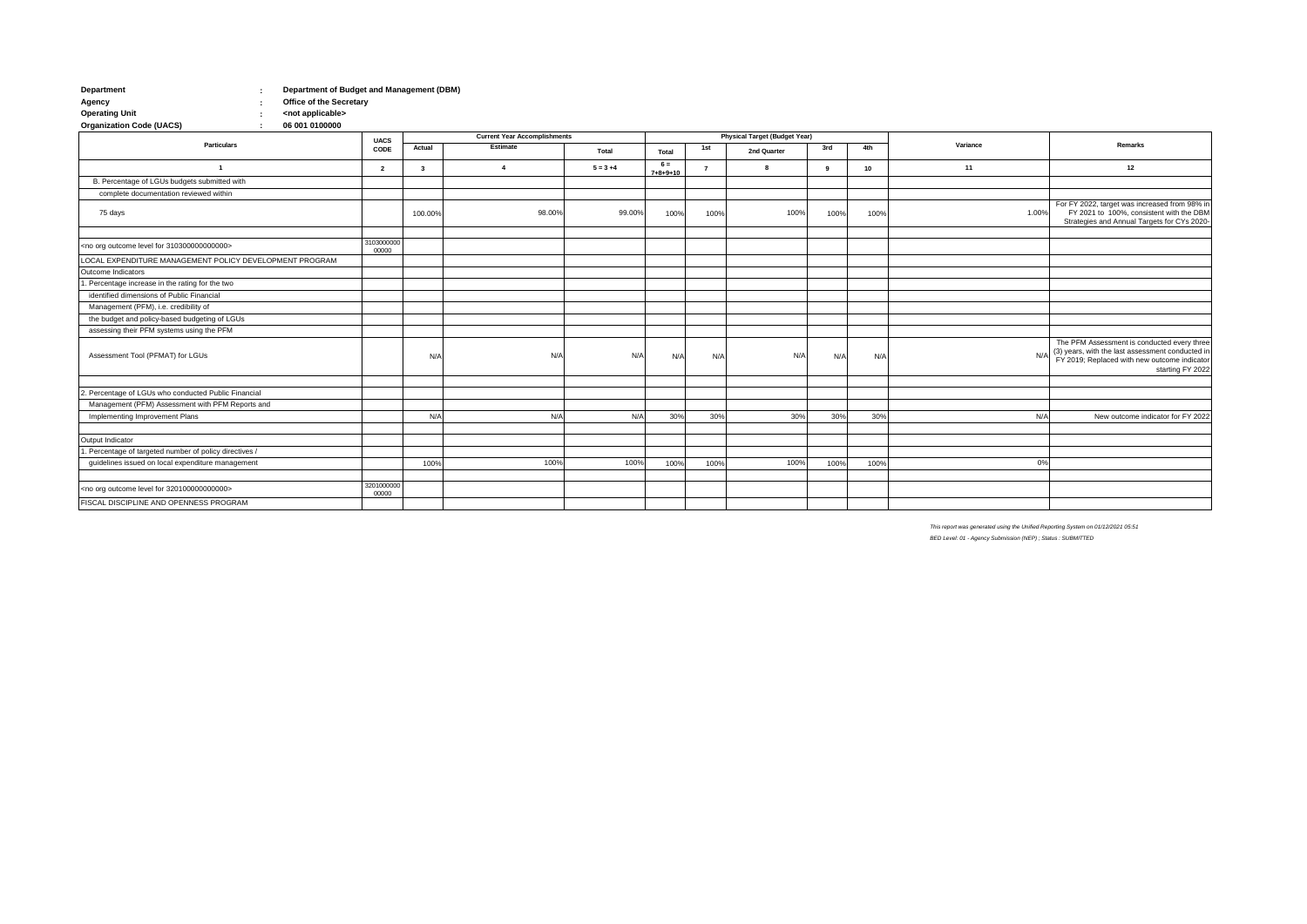| Department | Department of Budget and Management (DBM) |
|------------|-------------------------------------------|
| Agency     | <b>Office of the Secretary</b>            |

**: : Operating Unit** (*Coperating Unit* applicable><br> **Organization Code (UACS)** (*Coperating Coperation Code (UACS*) **Code (UACS)** 

**Actual Total 1st 3rd 4th 2 3 6 = 7+8+9+10 <sup>7</sup> <sup>9</sup> <sup>10</sup>** 100.00% 100% 100% 98.00% 98.00% 99.00% 100% 100% 100% 100% 100% 100% 100% 3103000000 00000 N/A N/A N/A N/A N/A N/A 30% 30% 30% 30% 100% 100% 100% 100% 100% 3201000000 00000 **2nd Quarter** 1 **1 1 4 1 5=3+4 1 5=3+4 1 5=3+4 1 5 5 5 5 1 6 1 1 11 Particulars UACS CODE Current Year Accomplishments Physical Target (Budget Year) Estimate Variance Remarks Total** complete documentation reviewed within **12** B. Percentage of LGUs budgets submitted with 75 days 98.00% 99.00% 100% 1.00% For FY 2022, target was increased from 98% in FY 2021 to 100%, consistent with the DBM Strategies and Annual Targets for CYs 2020- LOCAL EXPENDITURE MANAGEMENT POLICY DEVELOPMENT PROGRAM <no org outcome level for 310300000000000> 1. Percentage increase in the rating for the two Outcome Indicators Management (PFM), i.e. credibility of identified dimensions of Public Financial assessing their PFM systems using the PFM the budget and policy-based budgeting of LGUs Assessment Tool (PFMAT) for LGUs N/A N/A N/A N/A The PFM Assessment is conducted every three (3) years, with the last assessment conducted in FY 2019; Replaced with new outcome indicator starting FY 2022 Management (PFM) Assessment with PFM Reports and 2. Percentage of LGUs who conducted Public Financial Implementing Improvement Plans N/A N/A 30% N/A New outcome indicator for FY 2022 1. Percentage of targeted number of policy directives / Output Indicator guidelines issued on local expenditure management and the control of the control of the control of the control of the control of the control of the control of the control of the control of the control of the control of the FISCAL DISCIPLINE AND OPENNESS PROGRAM <no org outcome level for 320100000000000>

> *This report was generated using the Unified Reporting System on 01/12/2021 05:51 BED Level: 01 - Agency Submission (NEP) ; Status : SUBMITTED*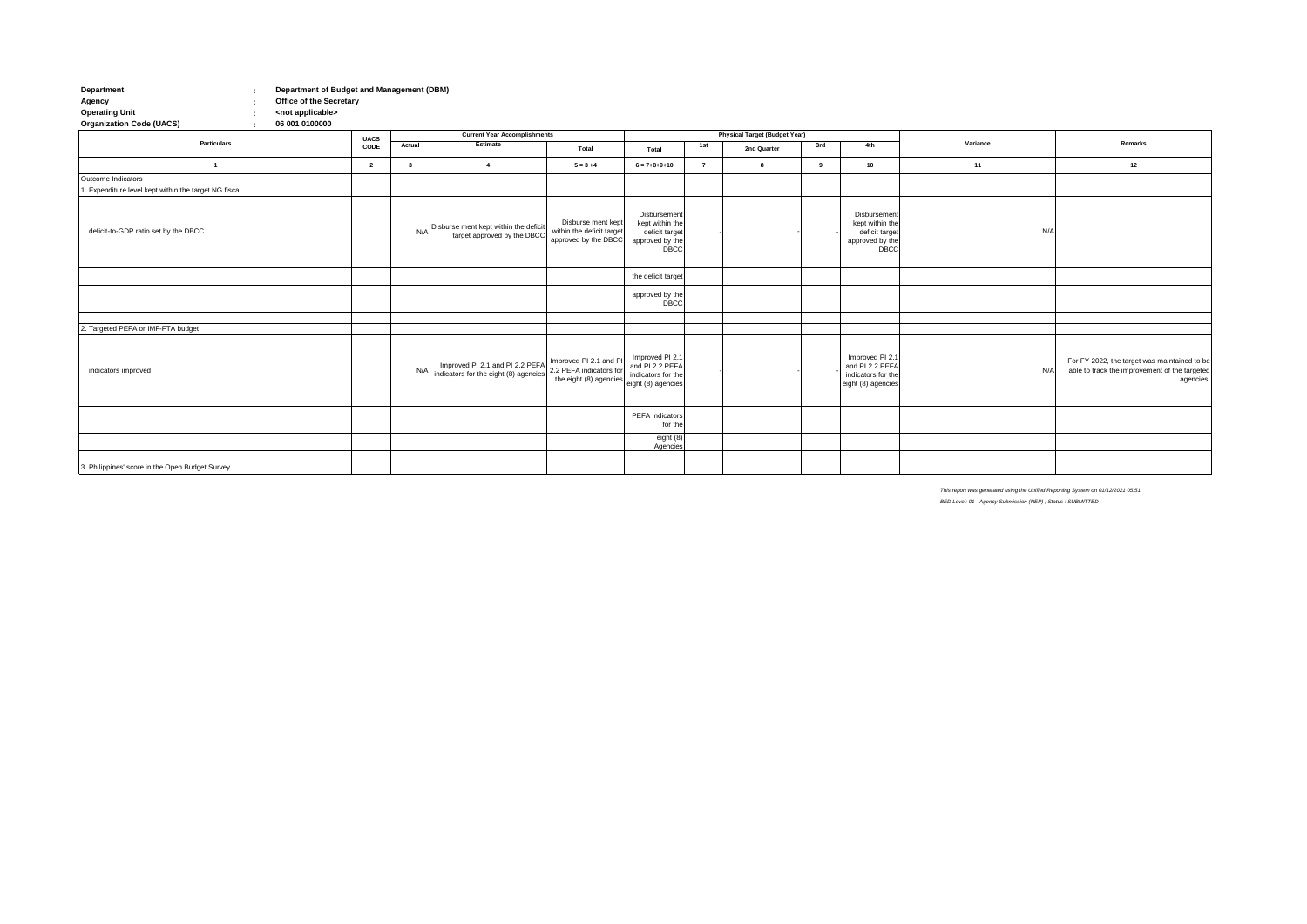## **Department Department of Budget and Management (DBM) Agency Office of the Secretary Operating Unit <not applicable> Organization Code (UACS) 06 001 0100000**

**: : : :**

|                                                       |                     | <b>Current Year Accomplishments</b> |                                                                                                                         |                                                                         |                                                                                     |                | <b>Physical Target (Budget Year)</b> |     |                                                                                |          |                                                                                                            |
|-------------------------------------------------------|---------------------|-------------------------------------|-------------------------------------------------------------------------------------------------------------------------|-------------------------------------------------------------------------|-------------------------------------------------------------------------------------|----------------|--------------------------------------|-----|--------------------------------------------------------------------------------|----------|------------------------------------------------------------------------------------------------------------|
| Particulars                                           | <b>UACS</b><br>CODE | Actual                              | Estimate                                                                                                                | Total                                                                   | Total                                                                               | 1st            | 2nd Quarter                          | 3rd | 4th                                                                            | Variance | Remarks                                                                                                    |
| $\overline{1}$                                        | $\overline{2}$      | $\mathbf{3}$                        | $\overline{4}$                                                                                                          | $5 = 3 + 4$                                                             | $6 = 7 + 8 + 9 + 10$                                                                | $\overline{7}$ | 8                                    | 9   | 10                                                                             | 11       | 12                                                                                                         |
| Outcome Indicators                                    |                     |                                     |                                                                                                                         |                                                                         |                                                                                     |                |                                      |     |                                                                                |          |                                                                                                            |
| 1. Expenditure level kept within the target NG fiscal |                     |                                     |                                                                                                                         |                                                                         |                                                                                     |                |                                      |     |                                                                                |          |                                                                                                            |
| deficit-to-GDP ratio set by the DBCC                  |                     | N/A                                 | Disburse ment kept within the deficit<br>target approved by the DBCC                                                    | Disburse ment kept<br>within the deficit target<br>approved by the DBCC | Disbursement<br>kept within the<br>deficit target<br>approved by the<br><b>DBCC</b> |                |                                      |     | Disbursemen<br>kept within the<br>deficit target<br>approved by the<br>DBCC    | N/A      |                                                                                                            |
|                                                       |                     |                                     |                                                                                                                         |                                                                         | the deficit target                                                                  |                |                                      |     |                                                                                |          |                                                                                                            |
|                                                       |                     |                                     |                                                                                                                         |                                                                         | approved by the<br>DBCC                                                             |                |                                      |     |                                                                                |          |                                                                                                            |
|                                                       |                     |                                     |                                                                                                                         |                                                                         |                                                                                     |                |                                      |     |                                                                                |          |                                                                                                            |
| 2. Targeted PEFA or IMF-FTA budget                    |                     |                                     |                                                                                                                         |                                                                         |                                                                                     |                |                                      |     |                                                                                |          |                                                                                                            |
| indicators improved                                   |                     | N/A                                 | Improved PI 2.1 and PI 2.2 PEFA Improved PI 2.1 and PI<br>indicators for the eight (8) agencies 2.2 PEFA indicators for | the eight (8) agencies                                                  | Improved PI 2.1<br>and PI 2.2 PEFA<br>indicators for the<br>eight (8) agencies      |                |                                      |     | Improved PI 2.1<br>and PI 2.2 PEFA<br>indicators for the<br>eight (8) agencies | N/A      | For FY 2022, the target was maintained to be<br>able to track the improvement of the targeted<br>agencies. |
|                                                       |                     |                                     |                                                                                                                         |                                                                         | PEFA indicators<br>for the                                                          |                |                                      |     |                                                                                |          |                                                                                                            |
|                                                       |                     |                                     |                                                                                                                         |                                                                         | eight (8)<br>Agencies                                                               |                |                                      |     |                                                                                |          |                                                                                                            |
|                                                       |                     |                                     |                                                                                                                         |                                                                         |                                                                                     |                |                                      |     |                                                                                |          |                                                                                                            |
| 3. Philippines' score in the Open Budget Survey       |                     |                                     |                                                                                                                         |                                                                         |                                                                                     |                |                                      |     |                                                                                |          |                                                                                                            |

*This report was generated using the Unified Reporting System on 01/12/2021 05:51*

*BED Level: 01 - Agency Submission (NEP) ; Status : SUBMITTED*